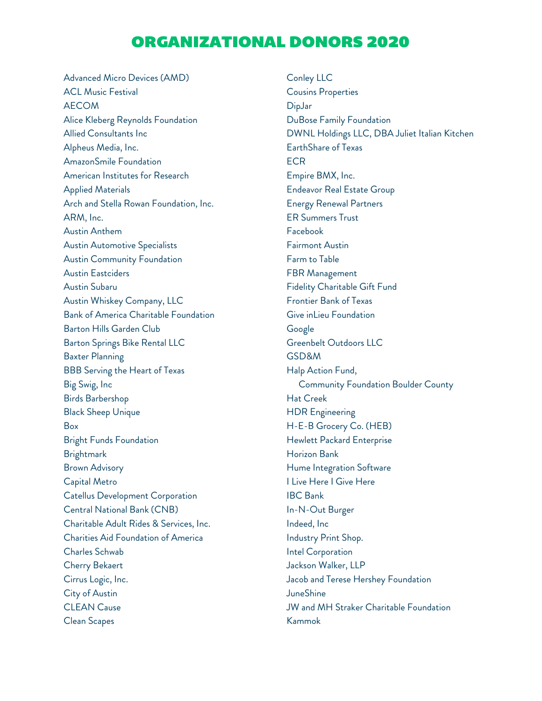## ORGANIZATIONAL DONORS 2020

Advanced Micro Devices (AMD) ACL Music Festival AECOM Alice Kleberg Reynolds Foundation Allied Consultants Inc Alpheus Media, Inc. AmazonSmile Foundation American Institutes for Research Applied Materials Arch and Stella Rowan Foundation, Inc. ARM, Inc. Austin Anthem Austin Automotive Specialists Austin Community Foundation Austin Eastciders Austin Subaru Austin Whiskey Company, LLC Bank of America Charitable Foundation Barton Hills Garden Club Barton Springs Bike Rental LLC Baxter Planning BBB Serving the Heart of Texas Big Swig, Inc Birds Barbershop Black Sheep Unique Box Bright Funds Foundation **Brightmark** Brown Advisory Capital Metro Catellus Development Corporation Central National Bank (CNB) Charitable Adult Rides & Services, Inc. Charities Aid Foundation of America Charles Schwab Cherry Bekaert Cirrus Logic, Inc. City of Austin CLEAN Cause Clean Scapes

Conley LLC Cousins Properties DipJar DuBose Family Foundation DWNL Holdings LLC, DBA Juliet Italian Kitchen EarthShare of Texas **ECR** Empire BMX, Inc. Endeavor Real Estate Group Energy Renewal Partners ER Summers Trust Facebook Fairmont Austin Farm to Table FBR Management Fidelity Charitable Gift Fund Frontier Bank of Texas Give inLieu Foundation Google Greenbelt Outdoors LLC GSD&M Halp Action Fund, Community Foundation Boulder County Hat Creek HDR Engineering H-E-B Grocery Co. (HEB) Hewlett Packard Enterprise Horizon Bank Hume Integration Software I Live Here I Give Here IBC Bank In-N-Out Burger Indeed, Inc Industry Print Shop. Intel Corporation Jackson Walker, LLP Jacob and Terese Hershey Foundation JuneShine JW and MH Straker Charitable Foundation Kammok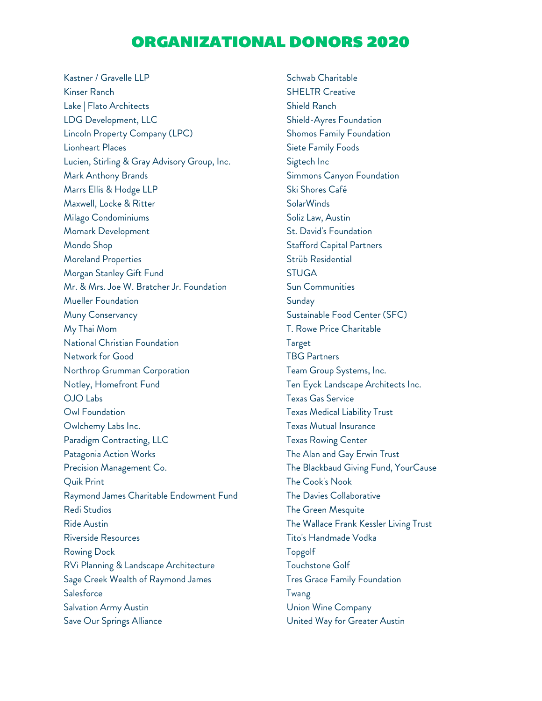## ORGANIZATIONAL DONORS 2020

Kastner / Gravelle LLP Kinser Ranch Lake | Flato Architects LDG Development, LLC Lincoln Property Company (LPC) Lionheart Places Lucien, Stirling & Gray Advisory Group, Inc. Mark Anthony Brands Marrs Ellis & Hodge LLP Maxwell, Locke & Ritter Milago Condominiums Momark Development Mondo Shop Moreland Properties Morgan Stanley Gift Fund Mr. & Mrs. Joe W. Bratcher Jr. Foundation Mueller Foundation Muny Conservancy My Thai Mom National Christian Foundation Network for Good Northrop Grumman Corporation Notley, Homefront Fund OJO Labs Owl Foundation Owlchemy Labs Inc. Paradigm Contracting, LLC Patagonia Action Works Precision Management Co. Quik Print Raymond James Charitable Endowment Fund Redi Studios Ride Austin Riverside Resources Rowing Dock RVi Planning & Landscape Architecture Sage Creek Wealth of Raymond James **Salesforce** Salvation Army Austin Save Our Springs Alliance

Schwab Charitable SHELTR Creative Shield Ranch Shield-Ayres Foundation Shomos Family Foundation Siete Family Foods Sigtech Inc Simmons Canyon Foundation Ski Shores Café SolarWinds Soliz Law, Austin St. David's Foundation Stafford Capital Partners Strüb Residential **STUGA** Sun Communities Sunday Sustainable Food Center (SFC) T. Rowe Price Charitable Target TBG Partners Team Group Systems, Inc. Ten Eyck Landscape Architects Inc. Texas Gas Service Texas Medical Liability Trust Texas Mutual Insurance Texas Rowing Center The Alan and Gay Erwin Trust The Blackbaud Giving Fund, YourCause The Cook's Nook The Davies Collaborative The Green Mesquite The Wallace Frank Kessler Living Trust Tito's Handmade Vodka Topgolf Touchstone Golf Tres Grace Family Foundation Twang Union Wine Company United Way for Greater Austin